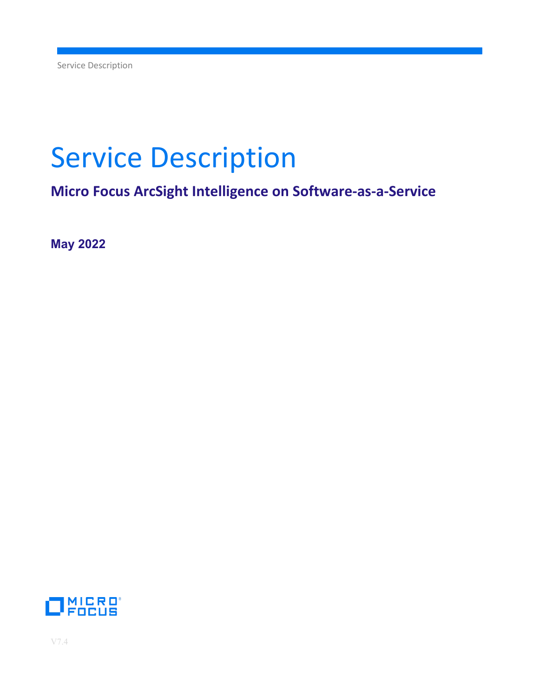# Service Description

**Micro Focus ArcSight Intelligence on Software-as-a-Service**

**May 2022**

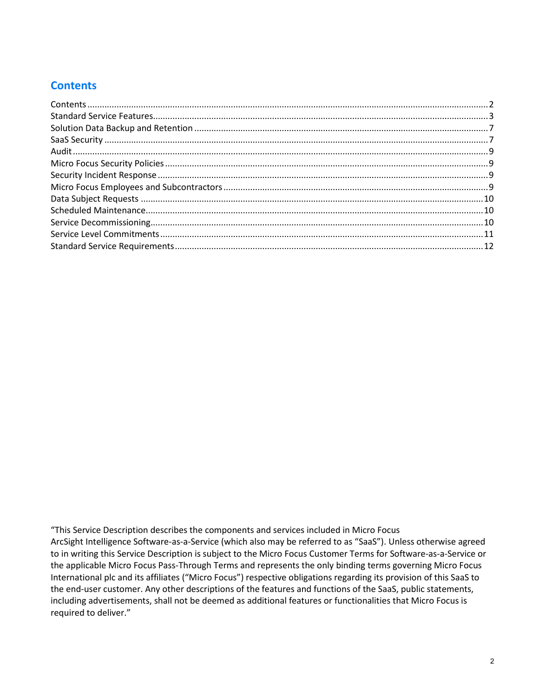# <span id="page-1-0"></span>**Contents**

"This Service Description describes the components and services included in Micro Focus ArcSight Intelligence Software-as-a-Service (which also may be referred to as "SaaS"). Unless otherwise agreed to in writing this Service Description is subject to the Micro Focus Customer Terms for Software-as-a-Service or the applicable Micro Focus Pass-Through Terms and represents the only binding terms governing Micro Focus International plc and its affiliates ("Micro Focus") respective obligations regarding its provision of this SaaS to the end-user customer. Any other descriptions of the features and functions of the SaaS, public statements, including advertisements, shall not be deemed as additional features or functionalities that Micro Focus is required to deliver."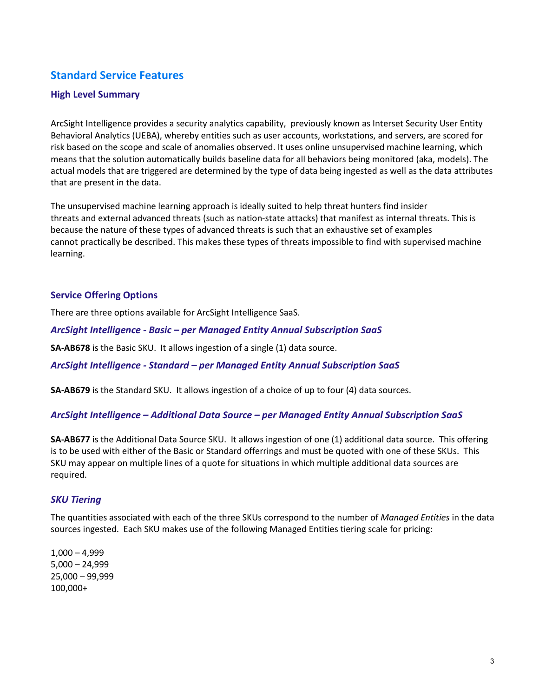# <span id="page-2-0"></span>**Standard Service Features**

## **High Level Summary**

ArcSight Intelligence provides a security analytics capability, previously known as Interset Security User Entity Behavioral Analytics (UEBA), whereby entities such as user accounts, workstations, and servers, are scored for risk based on the scope and scale of anomalies observed. It uses online unsupervised machine learning, which means that the solution automatically builds baseline data for all behaviors being monitored (aka, models). The actual models that are triggered are determined by the type of data being ingested as well as the data attributes that are present in the data.

The unsupervised machine learning approach is ideally suited to help threat hunters find insider threats and external advanced threats (such as nation-state attacks) that manifest as internal threats. This is because the nature of these types of advanced threats is such that an exhaustive set of examples cannot practically be described. This makes these types of threats impossible to find with supervised machine learning.

#### **Service Offering Options**

There are three options available for ArcSight Intelligence SaaS.

#### *ArcSight Intelligence - Basic – per Managed Entity Annual Subscription SaaS*

**SA-AB678** is the Basic SKU. It allows ingestion of a single (1) data source.

*ArcSight Intelligence - Standard – per Managed Entity Annual Subscription SaaS*

**SA-AB679** is the Standard SKU. It allows ingestion of a choice of up to four (4) data sources.

#### *ArcSight Intelligence – Additional Data Source – per Managed Entity Annual Subscription SaaS*

**SA-AB677** is the Additional Data Source SKU. It allows ingestion of one (1) additional data source. This offering is to be used with either of the Basic or Standard offerrings and must be quoted with one of these SKUs. This SKU may appear on multiple lines of a quote for situations in which multiple additional data sources are required.

#### *SKU Tiering*

The quantities associated with each of the three SKUs correspond to the number of *Managed Entities* in the data sources ingested. Each SKU makes use of the following Managed Entities tiering scale for pricing:

1,000 – 4,999 5,000 – 24,999 25,000 – 99,999 100,000+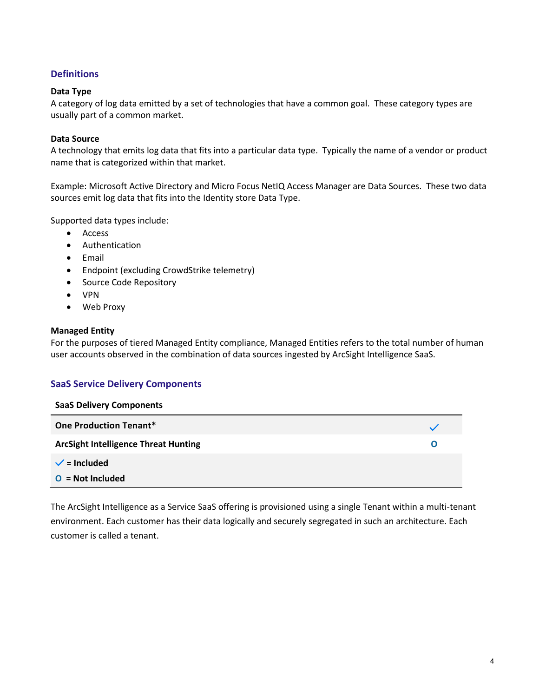## **Definitions**

#### **Data Type**

A category of log data emitted by a set of technologies that have a common goal. These category types are usually part of a common market.

### **Data Source**

A technology that emits log data that fits into a particular data type. Typically the name of a vendor or product name that is categorized within that market.

Example: Microsoft Active Directory and Micro Focus NetIQ Access Manager are Data Sources. These two data sources emit log data that fits into the Identity store Data Type.

Supported data types include:

- Access
- Authentication
- Email
- Endpoint (excluding CrowdStrike telemetry)
- Source Code Repository
- VPN
- Web Proxy

#### **Managed Entity**

For the purposes of tiered Managed Entity compliance, Managed Entities refers to the total number of human user accounts observed in the combination of data sources ingested by ArcSight Intelligence SaaS.

#### **SaaS Service Delivery Components**

| <b>SaaS Delivery Components</b>             |   |
|---------------------------------------------|---|
| <b>One Production Tenant*</b>               |   |
| <b>ArcSight Intelligence Threat Hunting</b> | O |
| $\checkmark$ = Included                     |   |
| $O = Not$ Included                          |   |

The ArcSight Intelligence as a Service SaaS offering is provisioned using a single Tenant within a multi-tenant environment. Each customer has their data logically and securely segregated in such an architecture. Each customer is called a tenant.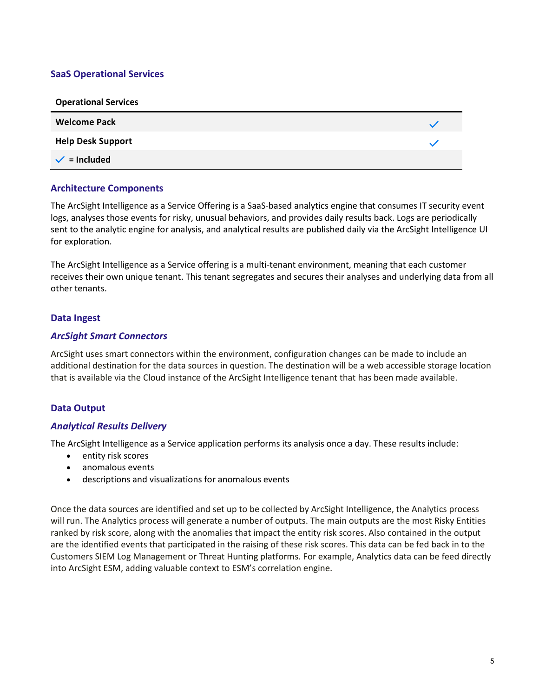## **SaaS Operational Services**

| <b>Operational Services</b> |  |
|-----------------------------|--|
| <b>Welcome Pack</b>         |  |
| <b>Help Desk Support</b>    |  |
| $\checkmark$ = Included     |  |

## **Architecture Components**

The ArcSight Intelligence as a Service Offering is a SaaS-based analytics engine that consumes IT security event logs, analyses those events for risky, unusual behaviors, and provides daily results back. Logs are periodically sent to the analytic engine for analysis, and analytical results are published daily via the ArcSight Intelligence UI for exploration.

The ArcSight Intelligence as a Service offering is a multi-tenant environment, meaning that each customer receives their own unique tenant. This tenant segregates and secures their analyses and underlying data from all other tenants.

## **Data Ingest**

## *ArcSight Smart Connectors*

ArcSight uses smart connectors within the environment, configuration changes can be made to include an additional destination for the data sources in question. The destination will be a web accessible storage location that is available via the Cloud instance of the ArcSight Intelligence tenant that has been made available.

## **Data Output**

#### *Analytical Results Delivery*

The ArcSight Intelligence as a Service application performs its analysis once a day. These results include:

- entity risk scores
- anomalous events
- descriptions and visualizations for anomalous events

Once the data sources are identified and set up to be collected by ArcSight Intelligence, the Analytics process will run. The Analytics process will generate a number of outputs. The main outputs are the most Risky Entities ranked by risk score, along with the anomalies that impact the entity risk scores. Also contained in the output are the identified events that participated in the raising of these risk scores. This data can be fed back in to the Customers SIEM Log Management or Threat Hunting platforms. For example, Analytics data can be feed directly into ArcSight ESM, adding valuable context to ESM's correlation engine.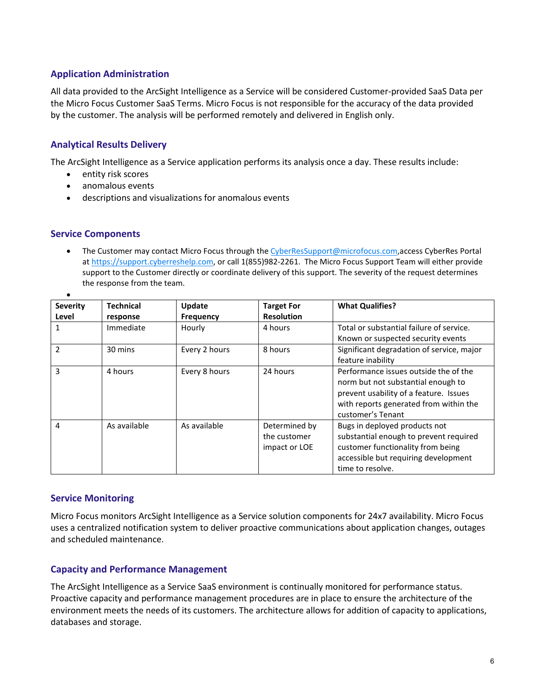## **Application Administration**

All data provided to the ArcSight Intelligence as a Service will be considered Customer-provided SaaS Data per the Micro Focus Customer SaaS Terms. Micro Focus is not responsible for the accuracy of the data provided by the customer. The analysis will be performed remotely and delivered in English only.

## **Analytical Results Delivery**

The ArcSight Intelligence as a Service application performs its analysis once a day. These results include:

- entity risk scores
- anomalous events
- descriptions and visualizations for anomalous events

#### **Service Components**

• The Customer may contact Micro Focus through th[e CyberResSupport@microfocus.com,](mailto:CyberResSupport@microfocus.com)access CyberRes Portal at [https://support.cyberreshelp.com,](https://support.cyberreshelp.com/) or call 1(855)982-2261. The Micro Focus Support Team will either provide support to the Customer directly or coordinate delivery of this support. The severity of the request determines the response from the team.

| <b>Severity</b> | <b>Technical</b> | Update           | <b>Target For</b> | <b>What Qualifies?</b>                    |
|-----------------|------------------|------------------|-------------------|-------------------------------------------|
| Level           | response         | <b>Frequency</b> | <b>Resolution</b> |                                           |
|                 | Immediate        | Hourly           | 4 hours           | Total or substantial failure of service.  |
|                 |                  |                  |                   | Known or suspected security events        |
| $\mathcal{P}$   | 30 mins          | Every 2 hours    | 8 hours           | Significant degradation of service, major |
|                 |                  |                  |                   | feature inability                         |
| 3               | 4 hours          | Every 8 hours    | 24 hours          | Performance issues outside the of the     |
|                 |                  |                  |                   | norm but not substantial enough to        |
|                 |                  |                  |                   | prevent usability of a feature. Issues    |
|                 |                  |                  |                   | with reports generated from within the    |
|                 |                  |                  |                   | customer's Tenant                         |
| 4               | As available     | As available     | Determined by     | Bugs in deployed products not             |
|                 |                  |                  | the customer      | substantial enough to prevent required    |
|                 |                  |                  | impact or LOE     | customer functionality from being         |
|                 |                  |                  |                   | accessible but requiring development      |
|                 |                  |                  |                   | time to resolve.                          |

#### **Service Monitoring**

Micro Focus monitors ArcSight Intelligence as a Service solution components for 24x7 availability. Micro Focus uses a centralized notification system to deliver proactive communications about application changes, outages and scheduled maintenance.

## **Capacity and Performance Management**

The ArcSight Intelligence as a Service SaaS environment is continually monitored for performance status. Proactive capacity and performance management procedures are in place to ensure the architecture of the environment meets the needs of its customers. The architecture allows for addition of capacity to applications, databases and storage.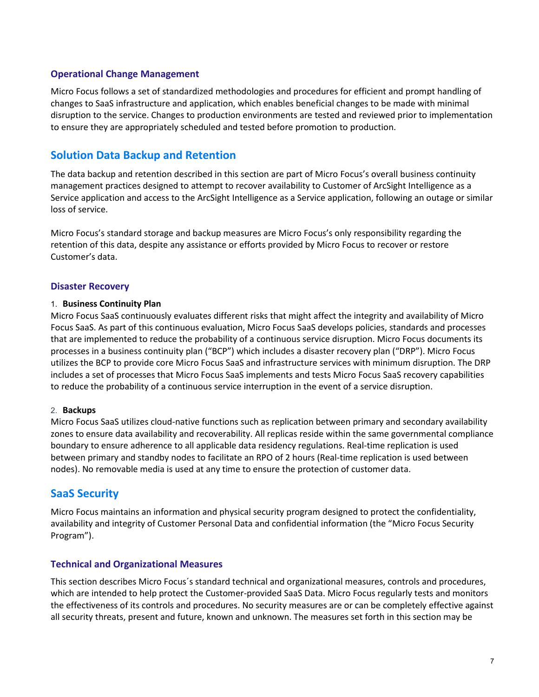## **Operational Change Management**

Micro Focus follows a set of standardized methodologies and procedures for efficient and prompt handling of changes to SaaS infrastructure and application, which enables beneficial changes to be made with minimal disruption to the service. Changes to production environments are tested and reviewed prior to implementation to ensure they are appropriately scheduled and tested before promotion to production.

# <span id="page-6-0"></span>**Solution Data Backup and Retention**

The data backup and retention described in this section are part of Micro Focus's overall business continuity management practices designed to attempt to recover availability to Customer of ArcSight Intelligence as a Service application and access to the ArcSight Intelligence as a Service application, following an outage or similar loss of service.

Micro Focus's standard storage and backup measures are Micro Focus's only responsibility regarding the retention of this data, despite any assistance or efforts provided by Micro Focus to recover or restore Customer's data.

## **Disaster Recovery**

#### 1. **Business Continuity Plan**

Micro Focus SaaS continuously evaluates different risks that might affect the integrity and availability of Micro Focus SaaS. As part of this continuous evaluation, Micro Focus SaaS develops policies, standards and processes that are implemented to reduce the probability of a continuous service disruption. Micro Focus documents its processes in a business continuity plan ("BCP") which includes a disaster recovery plan ("DRP"). Micro Focus utilizes the BCP to provide core Micro Focus SaaS and infrastructure services with minimum disruption. The DRP includes a set of processes that Micro Focus SaaS implements and tests Micro Focus SaaS recovery capabilities to reduce the probability of a continuous service interruption in the event of a service disruption.

#### 2. **Backups**

Micro Focus SaaS utilizes cloud-native functions such as replication between primary and secondary availability zones to ensure data availability and recoverability. All replicas reside within the same governmental compliance boundary to ensure adherence to all applicable data residency regulations. Real-time replication is used between primary and standby nodes to facilitate an RPO of 2 hours (Real-time replication is used between nodes). No removable media is used at any time to ensure the protection of customer data.

## <span id="page-6-1"></span>**SaaS Security**

Micro Focus maintains an information and physical security program designed to protect the confidentiality, availability and integrity of Customer Personal Data and confidential information (the "Micro Focus Security Program").

#### **Technical and Organizational Measures**

This section describes Micro Focus´s standard technical and organizational measures, controls and procedures, which are intended to help protect the Customer-provided SaaS Data. Micro Focus regularly tests and monitors the effectiveness of its controls and procedures. No security measures are or can be completely effective against all security threats, present and future, known and unknown. The measures set forth in this section may be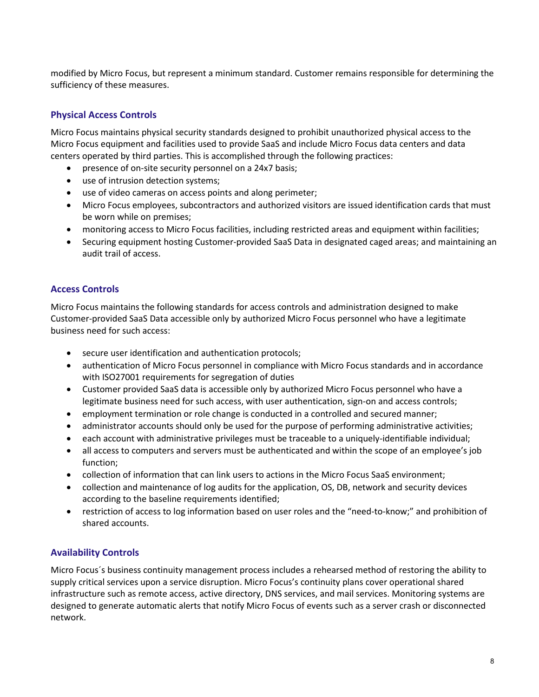modified by Micro Focus, but represent a minimum standard. Customer remains responsible for determining the sufficiency of these measures.

## **Physical Access Controls**

Micro Focus maintains physical security standards designed to prohibit unauthorized physical access to the Micro Focus equipment and facilities used to provide SaaS and include Micro Focus data centers and data centers operated by third parties. This is accomplished through the following practices:

- presence of on-site security personnel on a 24x7 basis;
- use of intrusion detection systems;
- use of video cameras on access points and along perimeter;
- Micro Focus employees, subcontractors and authorized visitors are issued identification cards that must be worn while on premises;
- monitoring access to Micro Focus facilities, including restricted areas and equipment within facilities;
- Securing equipment hosting Customer-provided SaaS Data in designated caged areas; and maintaining an audit trail of access.

## **Access Controls**

Micro Focus maintains the following standards for access controls and administration designed to make Customer-provided SaaS Data accessible only by authorized Micro Focus personnel who have a legitimate business need for such access:

- secure user identification and authentication protocols;
- authentication of Micro Focus personnel in compliance with Micro Focus standards and in accordance with ISO27001 requirements for segregation of duties
- Customer provided SaaS data is accessible only by authorized Micro Focus personnel who have a legitimate business need for such access, with user authentication, sign-on and access controls;
- employment termination or role change is conducted in a controlled and secured manner;
- administrator accounts should only be used for the purpose of performing administrative activities;
- each account with administrative privileges must be traceable to a uniquely-identifiable individual;
- all access to computers and servers must be authenticated and within the scope of an employee's job function;
- collection of information that can link users to actions in the Micro Focus SaaS environment;
- collection and maintenance of log audits for the application, OS, DB, network and security devices according to the baseline requirements identified;
- restriction of access to log information based on user roles and the "need-to-know;" and prohibition of shared accounts.

## **Availability Controls**

Micro Focus´s business continuity management process includes a rehearsed method of restoring the ability to supply critical services upon a service disruption. Micro Focus's continuity plans cover operational shared infrastructure such as remote access, active directory, DNS services, and mail services. Monitoring systems are designed to generate automatic alerts that notify Micro Focus of events such as a server crash or disconnected network.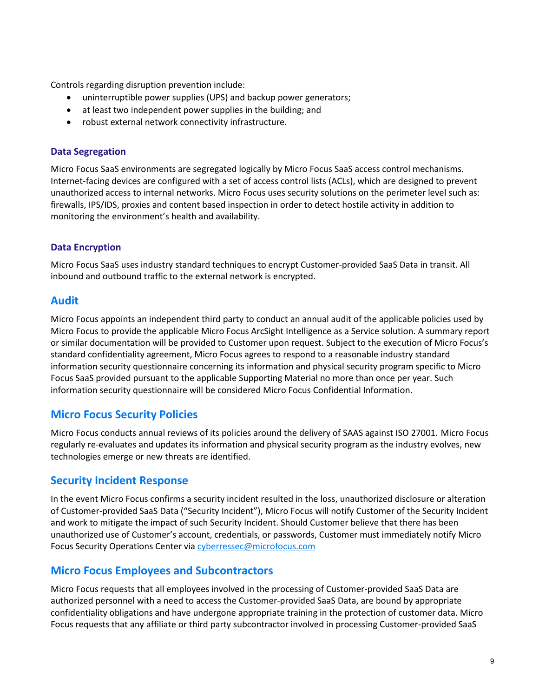Controls regarding disruption prevention include:

- uninterruptible power supplies (UPS) and backup power generators;
- at least two independent power supplies in the building; and
- robust external network connectivity infrastructure.

## **Data Segregation**

Micro Focus SaaS environments are segregated logically by Micro Focus SaaS access control mechanisms. Internet-facing devices are configured with a set of access control lists (ACLs), which are designed to prevent unauthorized access to internal networks. Micro Focus uses security solutions on the perimeter level such as: firewalls, IPS/IDS, proxies and content based inspection in order to detect hostile activity in addition to monitoring the environment's health and availability.

## **Data Encryption**

Micro Focus SaaS uses industry standard techniques to encrypt Customer-provided SaaS Data in transit. All inbound and outbound traffic to the external network is encrypted.

## <span id="page-8-0"></span>**Audit**

Micro Focus appoints an independent third party to conduct an annual audit of the applicable policies used by Micro Focus to provide the applicable Micro Focus ArcSight Intelligence as a Service solution. A summary report or similar documentation will be provided to Customer upon request. Subject to the execution of Micro Focus's standard confidentiality agreement, Micro Focus agrees to respond to a reasonable industry standard information security questionnaire concerning its information and physical security program specific to Micro Focus SaaS provided pursuant to the applicable Supporting Material no more than once per year. Such information security questionnaire will be considered Micro Focus Confidential Information.

# <span id="page-8-1"></span>**Micro Focus Security Policies**

Micro Focus conducts annual reviews of its policies around the delivery of SAAS against ISO 27001. Micro Focus regularly re-evaluates and updates its information and physical security program as the industry evolves, new technologies emerge or new threats are identified.

## <span id="page-8-2"></span>**Security Incident Response**

In the event Micro Focus confirms a security incident resulted in the loss, unauthorized disclosure or alteration of Customer-provided SaaS Data ("Security Incident"), Micro Focus will notify Customer of the Security Incident and work to mitigate the impact of such Security Incident. Should Customer believe that there has been unauthorized use of Customer's account, credentials, or passwords, Customer must immediately notify Micro Focus Security Operations Center via cyberressec@microfocus.com

## <span id="page-8-3"></span>**Micro Focus Employees and Subcontractors**

Micro Focus requests that all employees involved in the processing of Customer-provided SaaS Data are authorized personnel with a need to access the Customer-provided SaaS Data, are bound by appropriate confidentiality obligations and have undergone appropriate training in the protection of customer data. Micro Focus requests that any affiliate or third party subcontractor involved in processing Customer-provided SaaS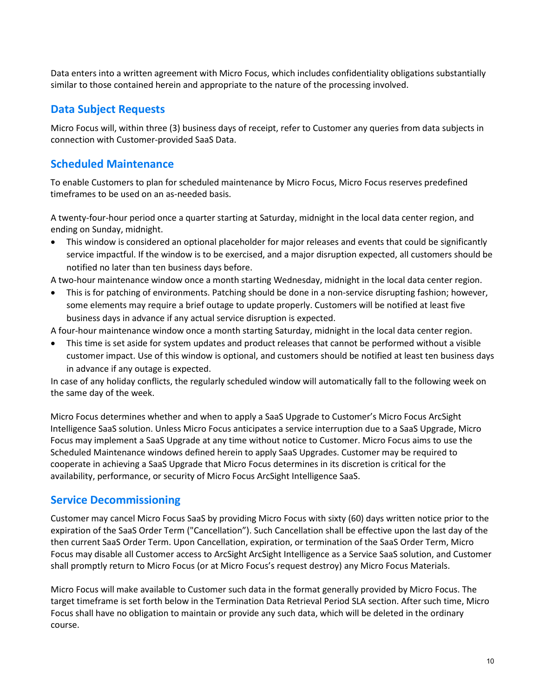Data enters into a written agreement with Micro Focus, which includes confidentiality obligations substantially similar to those contained herein and appropriate to the nature of the processing involved.

# <span id="page-9-0"></span>**Data Subject Requests**

Micro Focus will, within three (3) business days of receipt, refer to Customer any queries from data subjects in connection with Customer-provided SaaS Data.

# <span id="page-9-1"></span>**Scheduled Maintenance**

To enable Customers to plan for scheduled maintenance by Micro Focus, Micro Focus reserves predefined timeframes to be used on an as-needed basis.

A twenty-four-hour period once a quarter starting at Saturday, midnight in the local data center region, and ending on Sunday, midnight.

• This window is considered an optional placeholder for major releases and events that could be significantly service impactful. If the window is to be exercised, and a major disruption expected, all customers should be notified no later than ten business days before.

A two-hour maintenance window once a month starting Wednesday, midnight in the local data center region.

• This is for patching of environments. Patching should be done in a non-service disrupting fashion; however, some elements may require a brief outage to update properly. Customers will be notified at least five business days in advance if any actual service disruption is expected.

A four-hour maintenance window once a month starting Saturday, midnight in the local data center region.

• This time is set aside for system updates and product releases that cannot be performed without a visible customer impact. Use of this window is optional, and customers should be notified at least ten business days in advance if any outage is expected.

In case of any holiday conflicts, the regularly scheduled window will automatically fall to the following week on the same day of the week.

Micro Focus determines whether and when to apply a SaaS Upgrade to Customer's Micro Focus ArcSight Intelligence SaaS solution. Unless Micro Focus anticipates a service interruption due to a SaaS Upgrade, Micro Focus may implement a SaaS Upgrade at any time without notice to Customer. Micro Focus aims to use the Scheduled Maintenance windows defined herein to apply SaaS Upgrades. Customer may be required to cooperate in achieving a SaaS Upgrade that Micro Focus determines in its discretion is critical for the availability, performance, or security of Micro Focus ArcSight Intelligence SaaS.

# <span id="page-9-2"></span>**Service Decommissioning**

Customer may cancel Micro Focus SaaS by providing Micro Focus with sixty (60) days written notice prior to the expiration of the SaaS Order Term ("Cancellation"). Such Cancellation shall be effective upon the last day of the then current SaaS Order Term. Upon Cancellation, expiration, or termination of the SaaS Order Term, Micro Focus may disable all Customer access to ArcSight ArcSight Intelligence as a Service SaaS solution, and Customer shall promptly return to Micro Focus (or at Micro Focus's request destroy) any Micro Focus Materials.

Micro Focus will make available to Customer such data in the format generally provided by Micro Focus. The target timeframe is set forth below in the Termination Data Retrieval Period SLA section. After such time, Micro Focus shall have no obligation to maintain or provide any such data, which will be deleted in the ordinary course.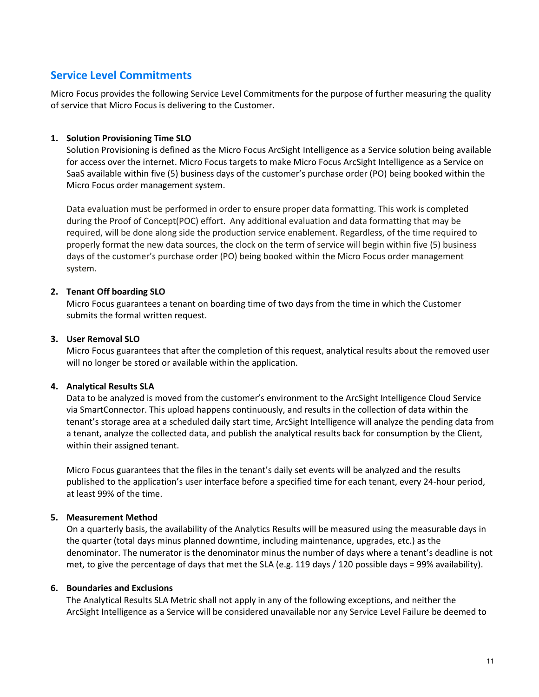# <span id="page-10-0"></span>**Service Level Commitments**

Micro Focus provides the following Service Level Commitments for the purpose of further measuring the quality of service that Micro Focus is delivering to the Customer.

## **1. Solution Provisioning Time SLO**

Solution Provisioning is defined as the Micro Focus ArcSight Intelligence as a Service solution being available for access over the internet. Micro Focus targets to make Micro Focus ArcSight Intelligence as a Service on SaaS available within five (5) business days of the customer's purchase order (PO) being booked within the Micro Focus order management system.

Data evaluation must be performed in order to ensure proper data formatting. This work is completed during the Proof of Concept(POC) effort. Any additional evaluation and data formatting that may be required, will be done along side the production service enablement. Regardless, of the time required to properly format the new data sources, the clock on the term of service will begin within five (5) business days of the customer's purchase order (PO) being booked within the Micro Focus order management system.

## **2. Tenant Off boarding SLO**

Micro Focus guarantees a tenant on boarding time of two days from the time in which the Customer submits the formal written request.

## **3. User Removal SLO**

Micro Focus guarantees that after the completion of this request, analytical results about the removed user will no longer be stored or available within the application.

#### **4. Analytical Results SLA**

Data to be analyzed is moved from the customer's environment to the ArcSight Intelligence Cloud Service via SmartConnector. This upload happens continuously, and results in the collection of data within the tenant's storage area at a scheduled daily start time, ArcSight Intelligence will analyze the pending data from a tenant, analyze the collected data, and publish the analytical results back for consumption by the Client, within their assigned tenant.

Micro Focus guarantees that the files in the tenant's daily set events will be analyzed and the results published to the application's user interface before a specified time for each tenant, every 24-hour period, at least 99% of the time.

#### **5. Measurement Method**

On a quarterly basis, the availability of the Analytics Results will be measured using the measurable days in the quarter (total days minus planned downtime, including maintenance, upgrades, etc.) as the denominator. The numerator is the denominator minus the number of days where a tenant's deadline is not met, to give the percentage of days that met the SLA (e.g. 119 days / 120 possible days = 99% availability).

#### **6. Boundaries and Exclusions**

The Analytical Results SLA Metric shall not apply in any of the following exceptions, and neither the ArcSight Intelligence as a Service will be considered unavailable nor any Service Level Failure be deemed to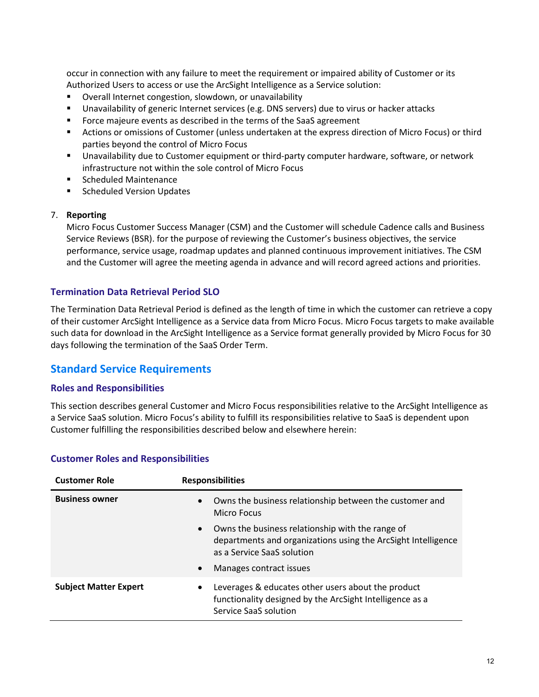occur in connection with any failure to meet the requirement or impaired ability of Customer or its Authorized Users to access or use the ArcSight Intelligence as a Service solution:

- Overall Internet congestion, slowdown, or unavailability
- Unavailability of generic Internet services (e.g. DNS servers) due to virus or hacker attacks
- **FIC Force majeure events as described in the terms of the SaaS agreement**
- Actions or omissions of Customer (unless undertaken at the express direction of Micro Focus) or third parties beyond the control of Micro Focus
- Unavailability due to Customer equipment or third-party computer hardware, software, or network infrastructure not within the sole control of Micro Focus
- **EXECUTED Scheduled Maintenance**
- **Scheduled Version Updates**

#### 7. **Reporting**

Micro Focus Customer Success Manager (CSM) and the Customer will schedule Cadence calls and Business Service Reviews (BSR). for the purpose of reviewing the Customer's business objectives, the service performance, service usage, roadmap updates and planned continuous improvement initiatives. The CSM and the Customer will agree the meeting agenda in advance and will record agreed actions and priorities.

## **Termination Data Retrieval Period SLO**

The Termination Data Retrieval Period is defined as the length of time in which the customer can retrieve a copy of their customer ArcSight Intelligence as a Service data from Micro Focus. Micro Focus targets to make available such data for download in the ArcSight Intelligence as a Service format generally provided by Micro Focus for 30 days following the termination of the SaaS Order Term.

## <span id="page-11-0"></span>**Standard Service Requirements**

#### **Roles and Responsibilities**

This section describes general Customer and Micro Focus responsibilities relative to the ArcSight Intelligence as a Service SaaS solution. Micro Focus's ability to fulfill its responsibilities relative to SaaS is dependent upon Customer fulfilling the responsibilities described below and elsewhere herein:

| <b>Customer Role</b>         | <b>Responsibilities</b>                                                                                                                                      |
|------------------------------|--------------------------------------------------------------------------------------------------------------------------------------------------------------|
| <b>Business owner</b>        | Owns the business relationship between the customer and<br>$\bullet$<br><b>Micro Focus</b>                                                                   |
|                              | Owns the business relationship with the range of<br>$\bullet$<br>departments and organizations using the ArcSight Intelligence<br>as a Service SaaS solution |
|                              | Manages contract issues<br>$\bullet$                                                                                                                         |
| <b>Subject Matter Expert</b> | Leverages & educates other users about the product<br>$\bullet$<br>functionality designed by the ArcSight Intelligence as a<br>Service SaaS solution         |

#### **Customer Roles and Responsibilities**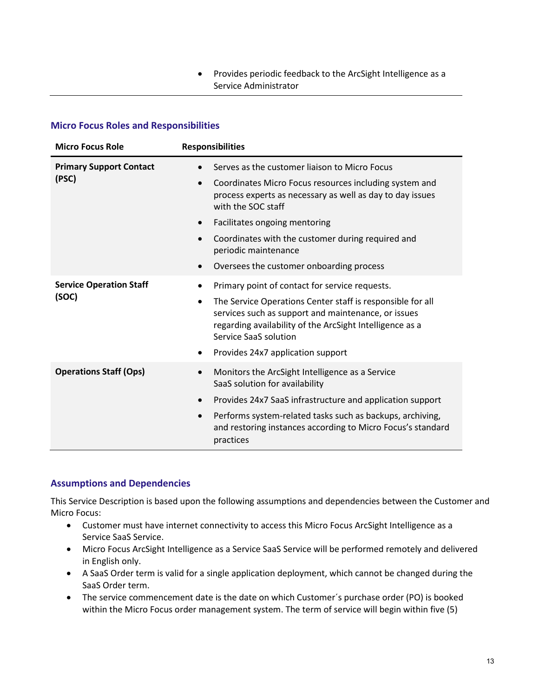## • Provides periodic feedback to the ArcSight Intelligence as a Service Administrator

## **Micro Focus Roles and Responsibilities**

| <b>Micro Focus Role</b>        | <b>Responsibilities</b>                                                                                                                                                                                |  |
|--------------------------------|--------------------------------------------------------------------------------------------------------------------------------------------------------------------------------------------------------|--|
| <b>Primary Support Contact</b> | Serves as the customer liaison to Micro Focus                                                                                                                                                          |  |
| (PSC)                          | Coordinates Micro Focus resources including system and<br>process experts as necessary as well as day to day issues<br>with the SOC staff                                                              |  |
|                                | Facilitates ongoing mentoring<br>$\bullet$                                                                                                                                                             |  |
|                                | Coordinates with the customer during required and<br>periodic maintenance                                                                                                                              |  |
|                                | Oversees the customer onboarding process                                                                                                                                                               |  |
| <b>Service Operation Staff</b> | Primary point of contact for service requests.                                                                                                                                                         |  |
| (SOC)                          | The Service Operations Center staff is responsible for all<br>services such as support and maintenance, or issues<br>regarding availability of the ArcSight Intelligence as a<br>Service SaaS solution |  |
|                                | Provides 24x7 application support                                                                                                                                                                      |  |
| <b>Operations Staff (Ops)</b>  | Monitors the ArcSight Intelligence as a Service<br>SaaS solution for availability                                                                                                                      |  |
|                                | Provides 24x7 SaaS infrastructure and application support<br>$\bullet$                                                                                                                                 |  |
|                                | Performs system-related tasks such as backups, archiving,<br>and restoring instances according to Micro Focus's standard<br>practices                                                                  |  |

## **Assumptions and Dependencies**

This Service Description is based upon the following assumptions and dependencies between the Customer and Micro Focus:

- Customer must have internet connectivity to access this Micro Focus ArcSight Intelligence as a Service SaaS Service.
- Micro Focus ArcSight Intelligence as a Service SaaS Service will be performed remotely and delivered in English only.
- A SaaS Order term is valid for a single application deployment, which cannot be changed during the SaaS Order term.
- The service commencement date is the date on which Customer´s purchase order (PO) is booked within the Micro Focus order management system. The term of service will begin within five (5)